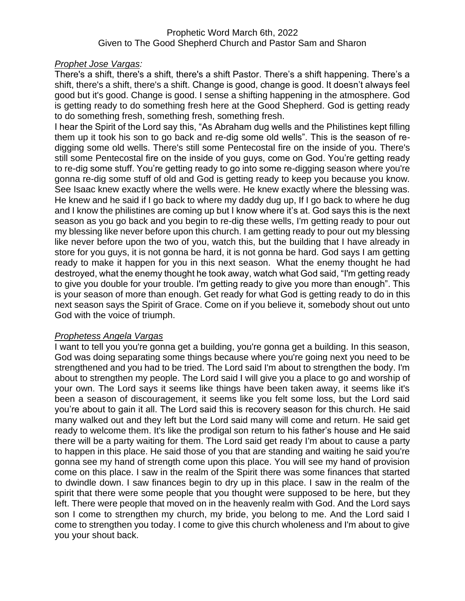## Prophetic Word March 6th, 2022 Given to The Good Shepherd Church and Pastor Sam and Sharon

## *Prophet Jose Vargas:*

There's a shift, there's a shift, there's a shift Pastor. There's a shift happening. There's a shift, there's a shift, there's a shift. Change is good, change is good. It doesn't always feel good but it's good. Change is good. I sense a shifting happening in the atmosphere. God is getting ready to do something fresh here at the Good Shepherd. God is getting ready to do something fresh, something fresh, something fresh.

I hear the Spirit of the Lord say this, "As Abraham dug wells and the Philistines kept filling them up it took his son to go back and re-dig some old wells". This is the season of redigging some old wells. There's still some Pentecostal fire on the inside of you. There's still some Pentecostal fire on the inside of you guys, come on God. You're getting ready to re-dig some stuff. You're getting ready to go into some re-digging season where you're gonna re-dig some stuff of old and God is getting ready to keep you because you know. See Isaac knew exactly where the wells were. He knew exactly where the blessing was. He knew and he said if I go back to where my daddy dug up, If I go back to where he dug and I know the philistines are coming up but I know where it's at. God says this is the next season as you go back and you begin to re-dig these wells, I'm getting ready to pour out my blessing like never before upon this church. I am getting ready to pour out my blessing like never before upon the two of you, watch this, but the building that I have already in store for you guys, it is not gonna be hard, it is not gonna be hard. God says I am getting ready to make it happen for you in this next season. What the enemy thought he had destroyed, what the enemy thought he took away, watch what God said, "I'm getting ready to give you double for your trouble. I'm getting ready to give you more than enough". This is your season of more than enough. Get ready for what God is getting ready to do in this next season says the Spirit of Grace. Come on if you believe it, somebody shout out unto God with the voice of triumph.

# *Prophetess Angela Vargas*

I want to tell you you're gonna get a building, you're gonna get a building. In this season, God was doing separating some things because where you're going next you need to be strengthened and you had to be tried. The Lord said I'm about to strengthen the body. I'm about to strengthen my people. The Lord said I will give you a place to go and worship of your own. The Lord says it seems like things have been taken away, it seems like it's been a season of discouragement, it seems like you felt some loss, but the Lord said you're about to gain it all. The Lord said this is recovery season for this church. He said many walked out and they left but the Lord said many will come and return. He said get ready to welcome them. It's like the prodigal son return to his father's house and He said there will be a party waiting for them. The Lord said get ready I'm about to cause a party to happen in this place. He said those of you that are standing and waiting he said you're gonna see my hand of strength come upon this place. You will see my hand of provision come on this place. I saw in the realm of the Spirit there was some finances that started to dwindle down. I saw finances begin to dry up in this place. I saw in the realm of the spirit that there were some people that you thought were supposed to be here, but they left. There were people that moved on in the heavenly realm with God. And the Lord says son I come to strengthen my church, my bride, you belong to me. And the Lord said I come to strengthen you today. I come to give this church wholeness and I'm about to give you your shout back.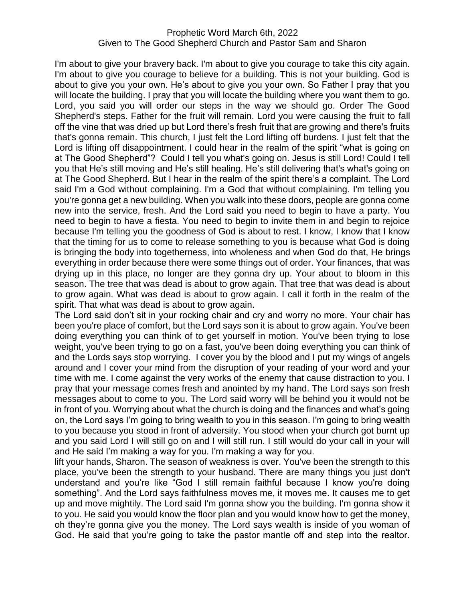### Prophetic Word March 6th, 2022 Given to The Good Shepherd Church and Pastor Sam and Sharon

I'm about to give your bravery back. I'm about to give you courage to take this city again. I'm about to give you courage to believe for a building. This is not your building. God is about to give you your own. He's about to give you your own. So Father I pray that you will locate the building. I pray that you will locate the building where you want them to go. Lord, you said you will order our steps in the way we should go. Order The Good Shepherd's steps. Father for the fruit will remain. Lord you were causing the fruit to fall off the vine that was dried up but Lord there's fresh fruit that are growing and there's fruits that's gonna remain. This church, I just felt the Lord lifting off burdens. I just felt that the Lord is lifting off disappointment. I could hear in the realm of the spirit "what is going on at The Good Shepherd"? Could I tell you what's going on. Jesus is still Lord! Could I tell you that He's still moving and He's still healing. He's still delivering that's what's going on at The Good Shepherd. But I hear in the realm of the spirit there's a complaint. The Lord said I'm a God without complaining. I'm a God that without complaining. I'm telling you you're gonna get a new building. When you walk into these doors, people are gonna come new into the service, fresh. And the Lord said you need to begin to have a party. You need to begin to have a fiesta. You need to begin to invite them in and begin to rejoice because I'm telling you the goodness of God is about to rest. I know, I know that I know that the timing for us to come to release something to you is because what God is doing is bringing the body into togetherness, into wholeness and when God do that, He brings everything in order because there were some things out of order. Your finances, that was drying up in this place, no longer are they gonna dry up. Your about to bloom in this season. The tree that was dead is about to grow again. That tree that was dead is about to grow again. What was dead is about to grow again. I call it forth in the realm of the spirit. That what was dead is about to grow again.

The Lord said don't sit in your rocking chair and cry and worry no more. Your chair has been you're place of comfort, but the Lord says son it is about to grow again. You've been doing everything you can think of to get yourself in motion. You've been trying to lose weight, you've been trying to go on a fast, you've been doing everything you can think of and the Lords says stop worrying. I cover you by the blood and I put my wings of angels around and I cover your mind from the disruption of your reading of your word and your time with me. I come against the very works of the enemy that cause distraction to you. I pray that your message comes fresh and anointed by my hand. The Lord says son fresh messages about to come to you. The Lord said worry will be behind you it would not be in front of you. Worrying about what the church is doing and the finances and what's going on, the Lord says I'm going to bring wealth to you in this season. I'm going to bring wealth to you because you stood in front of adversity. You stood when your church got burnt up and you said Lord I will still go on and I will still run. I still would do your call in your will and He said I'm making a way for you. I'm making a way for you.

lift your hands, Sharon. The season of weakness is over. You've been the strength to this place, you've been the strength to your husband. There are many things you just don't understand and you're like "God I still remain faithful because I know you're doing something". And the Lord says faithfulness moves me, it moves me. It causes me to get up and move mightily. The Lord said I'm gonna show you the building. I'm gonna show it to you. He said you would know the floor plan and you would know how to get the money, oh they're gonna give you the money. The Lord says wealth is inside of you woman of God. He said that you're going to take the pastor mantle off and step into the realtor.